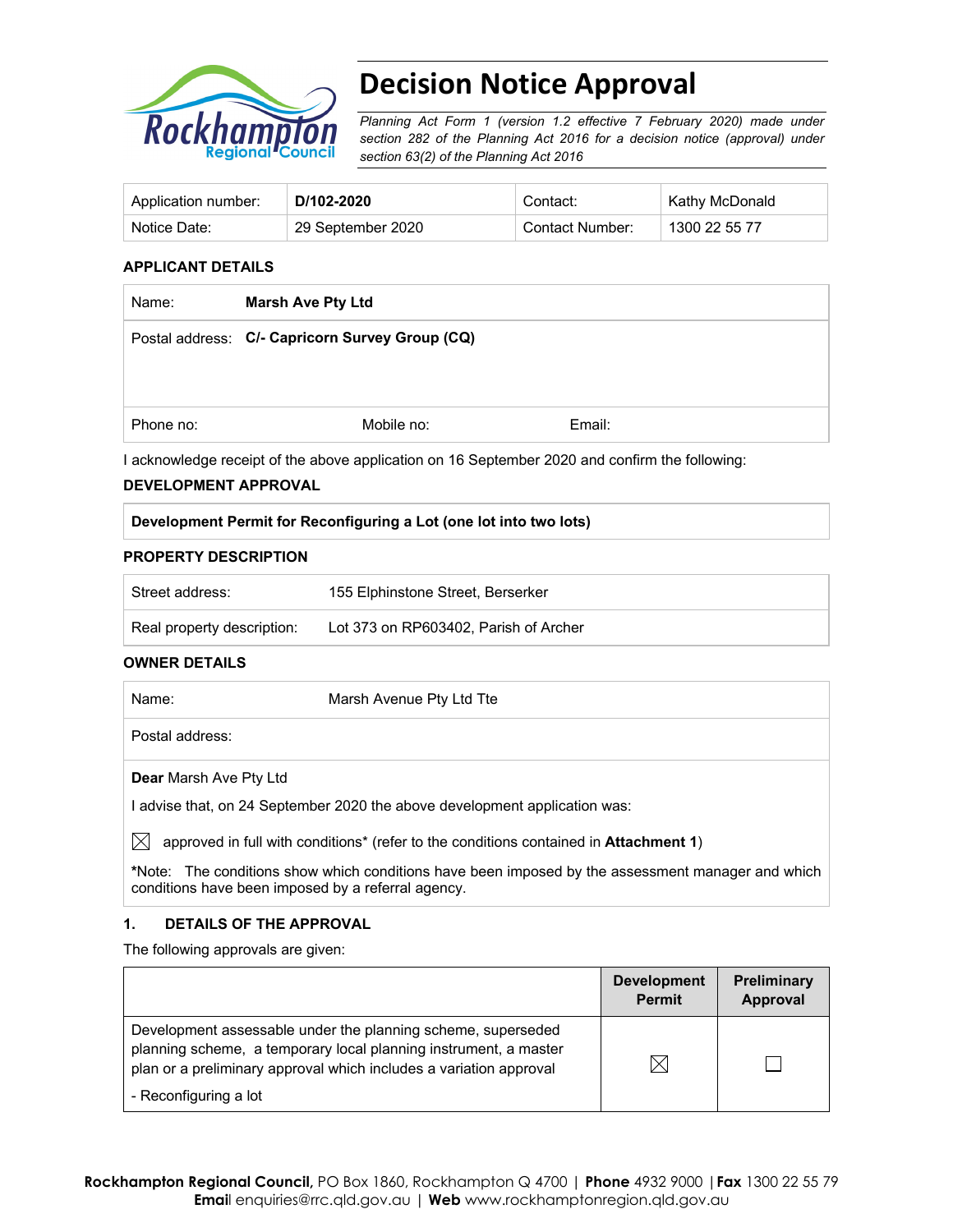

# **Decision Notice Approval**

*Planning Act Form 1 (version 1.2 effective 7 February 2020) made under section 282 of the Planning Act 2016 for a decision notice (approval) under section 63(2) of the Planning Act 2016*

| Application number: | D/102-2020        | Contact:        | Kathy McDonald |
|---------------------|-------------------|-----------------|----------------|
| Notice Date:        | 29 September 2020 | Contact Number: | 1300 22 55 77  |

#### **APPLICANT DETAILS**

| <b>Marsh Ave Pty Ltd</b>                        |        |  |
|-------------------------------------------------|--------|--|
| Postal address: C/- Capricorn Survey Group (CQ) |        |  |
|                                                 |        |  |
|                                                 |        |  |
| Mobile no:                                      | Email: |  |
|                                                 |        |  |

I acknowledge receipt of the above application on 16 September 2020 and confirm the following:

#### **DEVELOPMENT APPROVAL**

#### **Development Permit for Reconfiguring a Lot (one lot into two lots)**

#### **PROPERTY DESCRIPTION**

| Street address:            | 155 Elphinstone Street, Berserker     |
|----------------------------|---------------------------------------|
| Real property description: | Lot 373 on RP603402. Parish of Archer |

#### **OWNER DETAILS**

| Name:           | Marsh Avenue Pty Ltd Tte |  |
|-----------------|--------------------------|--|
| Postal address: |                          |  |

**Dear** Marsh Ave Pty Ltd

I advise that, on 24 September 2020 the above development application was:

 $\boxtimes$  approved in full with conditions<sup>\*</sup> (refer to the conditions contained in **Attachment 1**)

**\***Note:The conditions show which conditions have been imposed by the assessment manager and which conditions have been imposed by a referral agency.

#### **1. DETAILS OF THE APPROVAL**

The following approvals are given:

|                                                                                                                                                                                                        | <b>Development</b><br><b>Permit</b> | <b>Preliminary</b><br>Approval |
|--------------------------------------------------------------------------------------------------------------------------------------------------------------------------------------------------------|-------------------------------------|--------------------------------|
| Development assessable under the planning scheme, superseded<br>planning scheme, a temporary local planning instrument, a master<br>plan or a preliminary approval which includes a variation approval | IX                                  |                                |
| - Reconfiguring a lot                                                                                                                                                                                  |                                     |                                |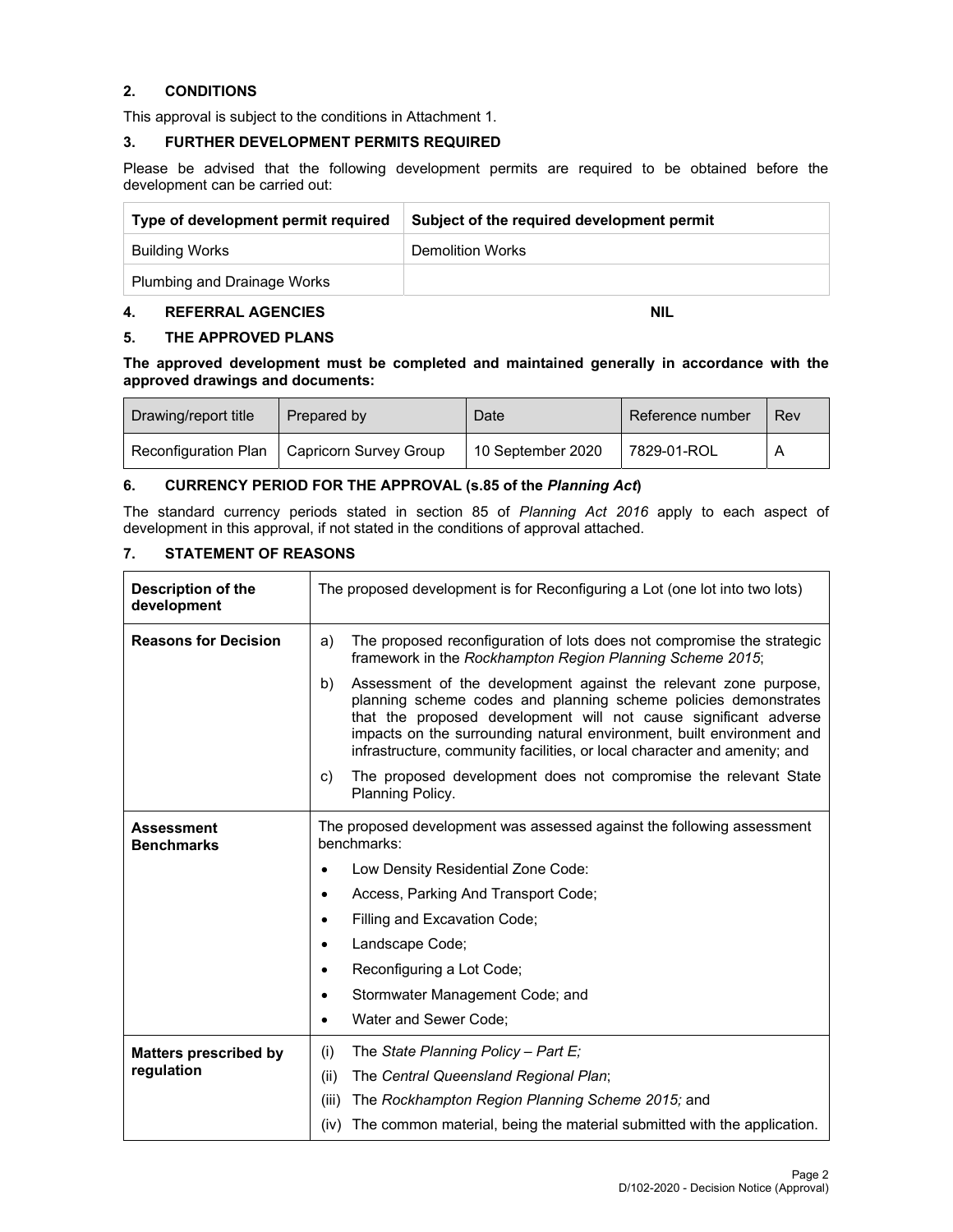#### **2. CONDITIONS**

This approval is subject to the conditions in Attachment 1.

#### **3. FURTHER DEVELOPMENT PERMITS REQUIRED**

Please be advised that the following development permits are required to be obtained before the development can be carried out:

| Type of development permit required | Subject of the required development permit |  |
|-------------------------------------|--------------------------------------------|--|
| Building Works                      | Demolition Works                           |  |
| <b>Plumbing and Drainage Works</b>  |                                            |  |

#### **4. REFERRAL AGENCIES** NIL **REFERRAL AGENCIES**

#### **5. THE APPROVED PLANS**

**The approved development must be completed and maintained generally in accordance with the approved drawings and documents:** 

| Drawing/report title | Prepared by                                   | Date              | Reference number | Rev |
|----------------------|-----------------------------------------------|-------------------|------------------|-----|
|                      | Reconfiguration Plan   Capricorn Survey Group | 10 September 2020 | 7829-01-ROL      |     |

#### **6. CURRENCY PERIOD FOR THE APPROVAL (s.85 of the** *Planning Act***)**

The standard currency periods stated in section 85 of *Planning Act 2016* apply to each aspect of development in this approval, if not stated in the conditions of approval attached.

#### **7. STATEMENT OF REASONS**

| <b>Description of the</b><br>development | The proposed development is for Reconfiguring a Lot (one lot into two lots)                                                                                                                                                                                                                                                                                         |  |
|------------------------------------------|---------------------------------------------------------------------------------------------------------------------------------------------------------------------------------------------------------------------------------------------------------------------------------------------------------------------------------------------------------------------|--|
| <b>Reasons for Decision</b>              | The proposed reconfiguration of lots does not compromise the strategic<br>a)<br>framework in the Rockhampton Region Planning Scheme 2015;                                                                                                                                                                                                                           |  |
|                                          | Assessment of the development against the relevant zone purpose,<br>b)<br>planning scheme codes and planning scheme policies demonstrates<br>that the proposed development will not cause significant adverse<br>impacts on the surrounding natural environment, built environment and<br>infrastructure, community facilities, or local character and amenity; and |  |
|                                          | The proposed development does not compromise the relevant State<br>C)<br>Planning Policy.                                                                                                                                                                                                                                                                           |  |
| <b>Assessment</b><br><b>Benchmarks</b>   | The proposed development was assessed against the following assessment<br>benchmarks:                                                                                                                                                                                                                                                                               |  |
|                                          | Low Density Residential Zone Code:                                                                                                                                                                                                                                                                                                                                  |  |
|                                          | Access, Parking And Transport Code;<br>٠                                                                                                                                                                                                                                                                                                                            |  |
|                                          | Filling and Excavation Code;<br>٠                                                                                                                                                                                                                                                                                                                                   |  |
|                                          | Landscape Code;                                                                                                                                                                                                                                                                                                                                                     |  |
|                                          | Reconfiguring a Lot Code;<br>٠                                                                                                                                                                                                                                                                                                                                      |  |
|                                          | Stormwater Management Code; and                                                                                                                                                                                                                                                                                                                                     |  |
|                                          | Water and Sewer Code;                                                                                                                                                                                                                                                                                                                                               |  |
| <b>Matters prescribed by</b>             | The State Planning Policy - Part E;<br>(i)                                                                                                                                                                                                                                                                                                                          |  |
| regulation                               | The Central Queensland Regional Plan;<br>(ii)                                                                                                                                                                                                                                                                                                                       |  |
|                                          | (iii)<br>The Rockhampton Region Planning Scheme 2015; and                                                                                                                                                                                                                                                                                                           |  |
|                                          | The common material, being the material submitted with the application.<br>(iv)                                                                                                                                                                                                                                                                                     |  |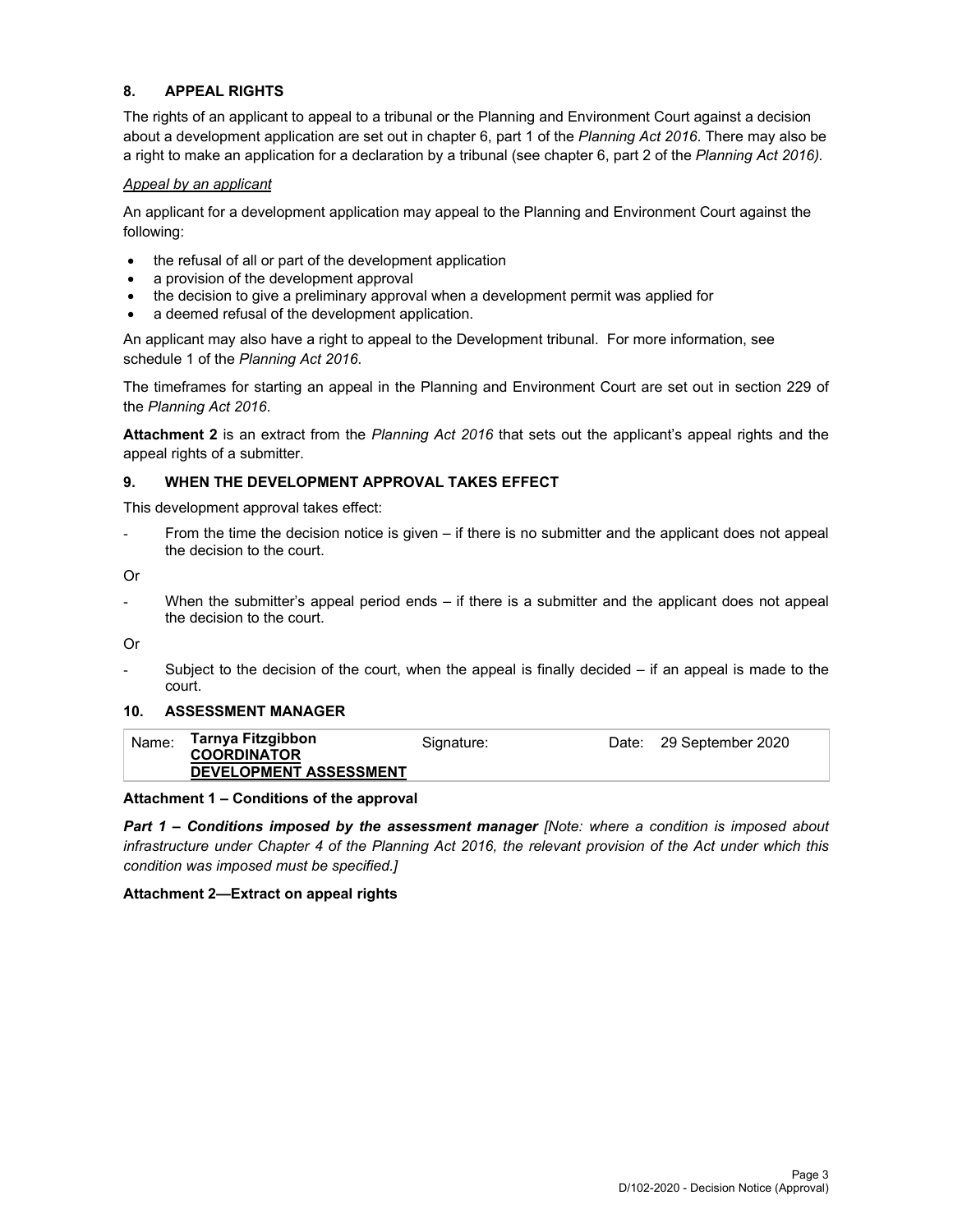#### **8. APPEAL RIGHTS**

The rights of an applicant to appeal to a tribunal or the Planning and Environment Court against a decision about a development application are set out in chapter 6, part 1 of the *Planning Act 2016*. There may also be a right to make an application for a declaration by a tribunal (see chapter 6, part 2 of the *Planning Act 2016).*

#### *Appeal by an applicant*

An applicant for a development application may appeal to the Planning and Environment Court against the following:

- the refusal of all or part of the development application
- a provision of the development approval
- the decision to give a preliminary approval when a development permit was applied for
- a deemed refusal of the development application.

An applicant may also have a right to appeal to the Development tribunal. For more information, see schedule 1 of the *Planning Act 2016*.

The timeframes for starting an appeal in the Planning and Environment Court are set out in section 229 of the *Planning Act 2016*.

**Attachment 2** is an extract from the *Planning Act 2016* that sets out the applicant's appeal rights and the appeal rights of a submitter.

#### **9. WHEN THE DEVELOPMENT APPROVAL TAKES EFFECT**

This development approval takes effect:

From the time the decision notice is given – if there is no submitter and the applicant does not appeal the decision to the court.

Or

- When the submitter's appeal period ends – if there is a submitter and the applicant does not appeal the decision to the court.

Or

Subject to the decision of the court, when the appeal is finally decided  $-$  if an appeal is made to the court.

#### **10. ASSESSMENT MANAGER**

| Name:              | Tarnya Fitzgibbon             | Signature: | Date: 29 September 2020 |
|--------------------|-------------------------------|------------|-------------------------|
| <b>COORDINATOR</b> |                               |            |                         |
|                    | <b>DEVELOPMENT ASSESSMENT</b> |            |                         |

#### **Attachment 1 – Conditions of the approval**

*Part 1* **–** *Conditions imposed by the assessment manager [Note: where a condition is imposed about infrastructure under Chapter 4 of the Planning Act 2016, the relevant provision of the Act under which this condition was imposed must be specified.]*

#### **Attachment 2—Extract on appeal rights**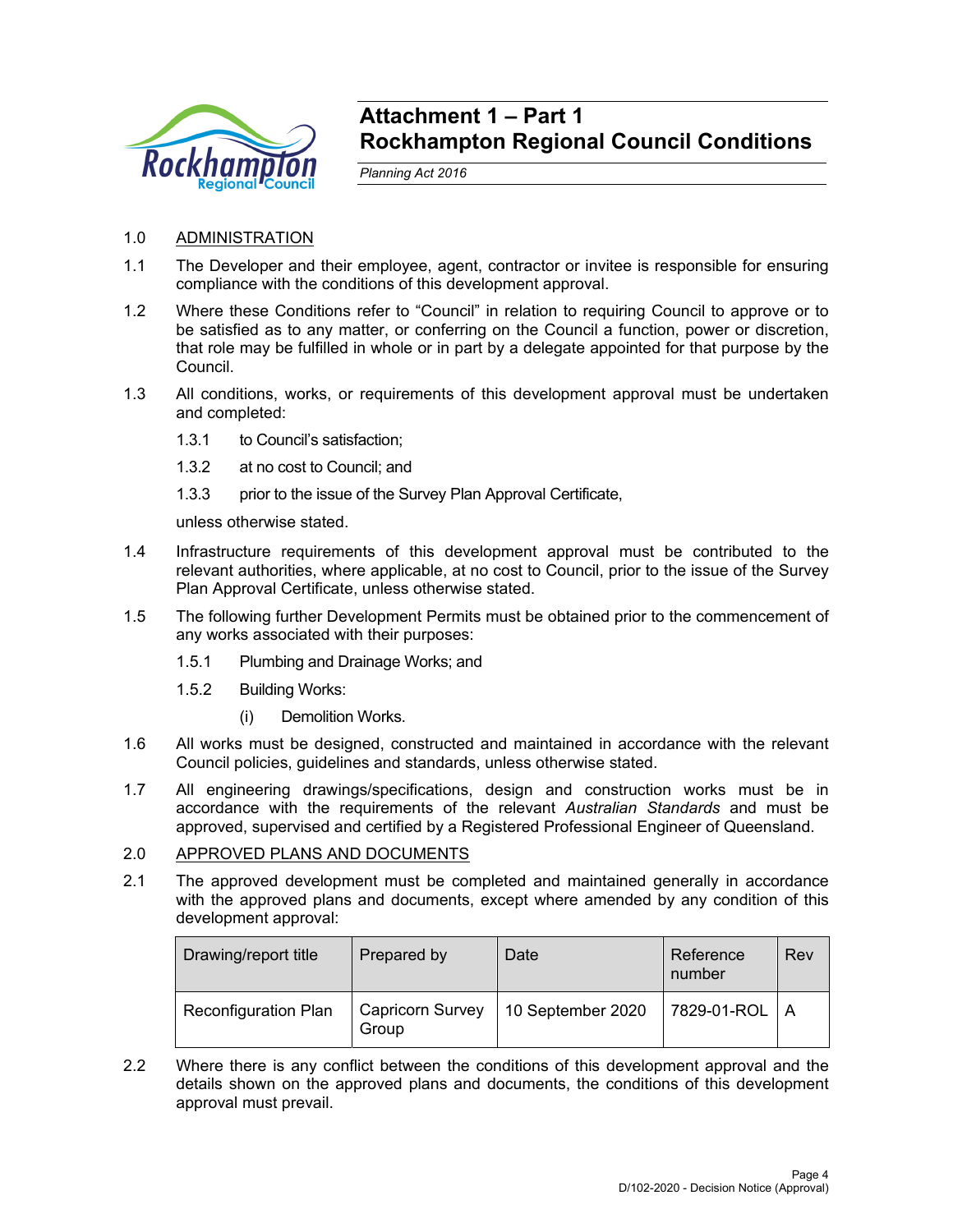

## **Attachment 1 – Part 1 Rockhampton Regional Council Conditions**

*Planning Act 2016* 

- 1.0 ADMINISTRATION
- 1.1 The Developer and their employee, agent, contractor or invitee is responsible for ensuring compliance with the conditions of this development approval.
- 1.2 Where these Conditions refer to "Council" in relation to requiring Council to approve or to be satisfied as to any matter, or conferring on the Council a function, power or discretion, that role may be fulfilled in whole or in part by a delegate appointed for that purpose by the Council.
- 1.3 All conditions, works, or requirements of this development approval must be undertaken and completed:
	- 1.3.1 to Council's satisfaction;
	- 1.3.2 at no cost to Council; and
	- 1.3.3 prior to the issue of the Survey Plan Approval Certificate,

unless otherwise stated.

- 1.4 Infrastructure requirements of this development approval must be contributed to the relevant authorities, where applicable, at no cost to Council, prior to the issue of the Survey Plan Approval Certificate, unless otherwise stated.
- 1.5 The following further Development Permits must be obtained prior to the commencement of any works associated with their purposes:
	- 1.5.1 Plumbing and Drainage Works; and
	- 1.5.2 Building Works:
		- (i) Demolition Works.
- 1.6 All works must be designed, constructed and maintained in accordance with the relevant Council policies, guidelines and standards, unless otherwise stated.
- 1.7 All engineering drawings/specifications, design and construction works must be in accordance with the requirements of the relevant *Australian Standards* and must be approved, supervised and certified by a Registered Professional Engineer of Queensland.

#### 2.0 APPROVED PLANS AND DOCUMENTS

2.1 The approved development must be completed and maintained generally in accordance with the approved plans and documents, except where amended by any condition of this development approval:

| Drawing/report title        | Prepared by                      | Date              | Reference<br>number | Rev |
|-----------------------------|----------------------------------|-------------------|---------------------|-----|
| <b>Reconfiguration Plan</b> | <b>Capricorn Survey</b><br>Group | 10 September 2020 | 7829-01-ROL   A     |     |

2.2 Where there is any conflict between the conditions of this development approval and the details shown on the approved plans and documents, the conditions of this development approval must prevail.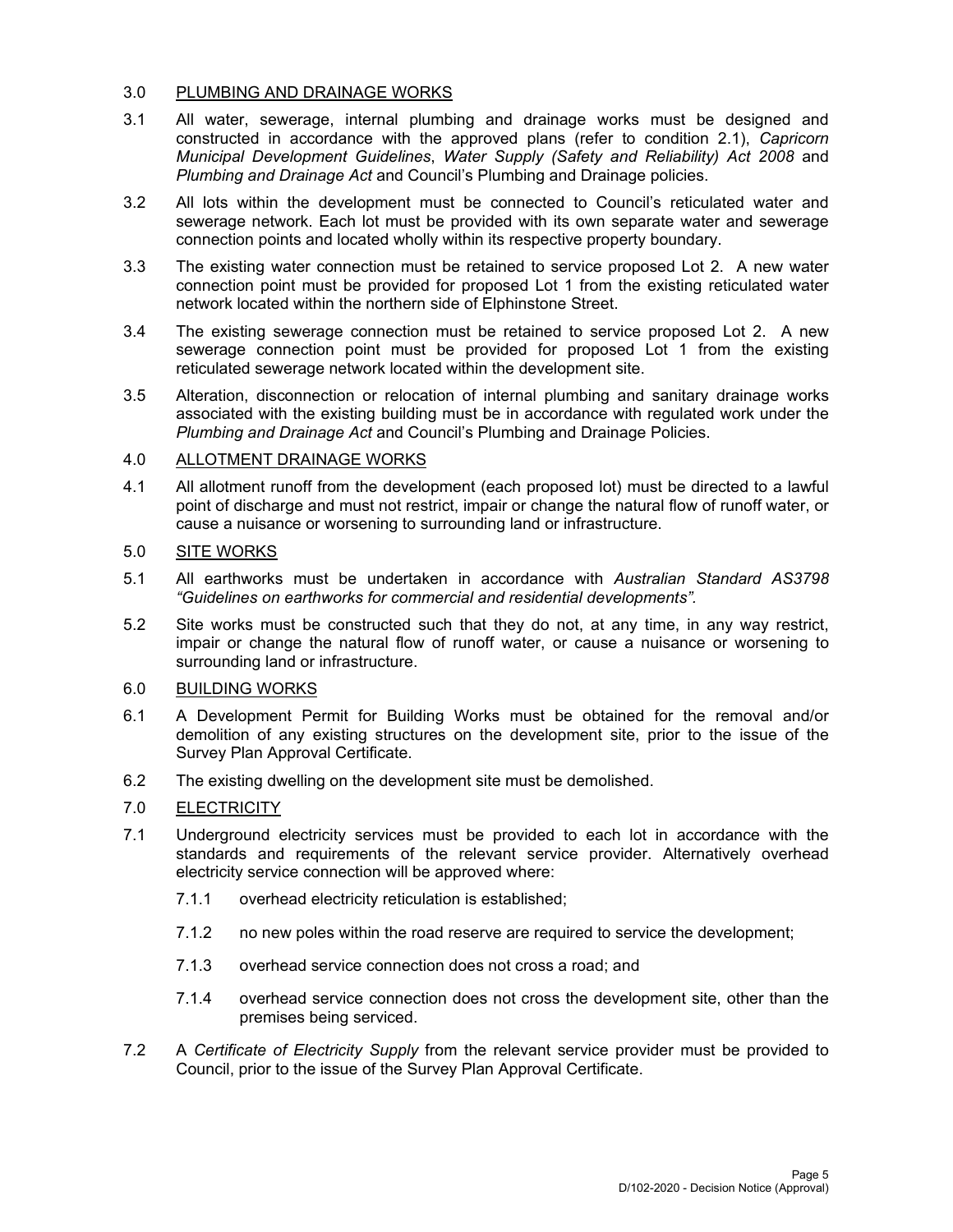#### 3.0 PLUMBING AND DRAINAGE WORKS

- 3.1 All water, sewerage, internal plumbing and drainage works must be designed and constructed in accordance with the approved plans (refer to condition 2.1), *Capricorn Municipal Development Guidelines*, *Water Supply (Safety and Reliability) Act 2008* and *Plumbing and Drainage Act* and Council's Plumbing and Drainage policies.
- 3.2 All lots within the development must be connected to Council's reticulated water and sewerage network. Each lot must be provided with its own separate water and sewerage connection points and located wholly within its respective property boundary.
- 3.3 The existing water connection must be retained to service proposed Lot 2. A new water connection point must be provided for proposed Lot 1 from the existing reticulated water network located within the northern side of Elphinstone Street.
- 3.4 The existing sewerage connection must be retained to service proposed Lot 2. A new sewerage connection point must be provided for proposed Lot 1 from the existing reticulated sewerage network located within the development site.
- 3.5 Alteration, disconnection or relocation of internal plumbing and sanitary drainage works associated with the existing building must be in accordance with regulated work under the *Plumbing and Drainage Act* and Council's Plumbing and Drainage Policies.

## 4.0 ALLOTMENT DRAINAGE WORKS

4.1 All allotment runoff from the development (each proposed lot) must be directed to a lawful point of discharge and must not restrict, impair or change the natural flow of runoff water, or cause a nuisance or worsening to surrounding land or infrastructure.

## 5.0 SITE WORKS

- 5.1 All earthworks must be undertaken in accordance with *Australian Standard AS3798 "Guidelines on earthworks for commercial and residential developments".*
- 5.2 Site works must be constructed such that they do not, at any time, in any way restrict, impair or change the natural flow of runoff water, or cause a nuisance or worsening to surrounding land or infrastructure.

## 6.0 BUILDING WORKS

- 6.1 A Development Permit for Building Works must be obtained for the removal and/or demolition of any existing structures on the development site, prior to the issue of the Survey Plan Approval Certificate.
- 6.2 The existing dwelling on the development site must be demolished.

## 7.0 ELECTRICITY

- 7.1 Underground electricity services must be provided to each lot in accordance with the standards and requirements of the relevant service provider. Alternatively overhead electricity service connection will be approved where:
	- 7.1.1 overhead electricity reticulation is established;
	- 7.1.2 no new poles within the road reserve are required to service the development;
	- 7.1.3 overhead service connection does not cross a road; and
	- 7.1.4 overhead service connection does not cross the development site, other than the premises being serviced.
- 7.2 A *Certificate of Electricity Supply* from the relevant service provider must be provided to Council, prior to the issue of the Survey Plan Approval Certificate.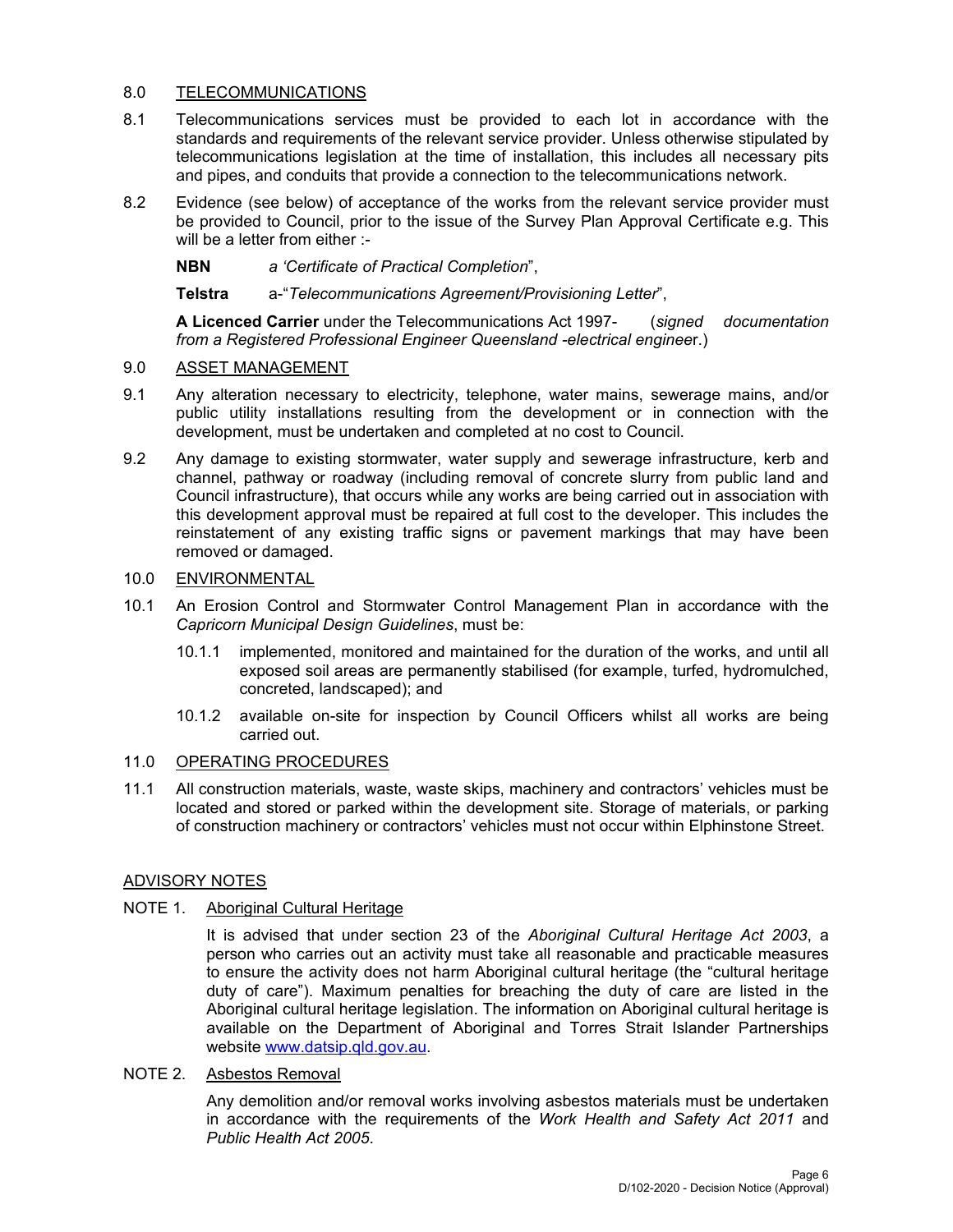### 8.0 TELECOMMUNICATIONS

- 8.1 Telecommunications services must be provided to each lot in accordance with the standards and requirements of the relevant service provider. Unless otherwise stipulated by telecommunications legislation at the time of installation, this includes all necessary pits and pipes, and conduits that provide a connection to the telecommunications network.
- 8.2 Evidence (see below) of acceptance of the works from the relevant service provider must be provided to Council, prior to the issue of the Survey Plan Approval Certificate e.g. This will be a letter from either :-

## **NBN** *a 'Certificate of Practical Completion*",

## **Telstra** a-"*Telecommunications Agreement/Provisioning Letter*",

**A Licenced Carrier** under the Telecommunications Act 1997- (*signed documentation from a Registered Professional Engineer Queensland -electrical enginee*r.)

## 9.0 ASSET MANAGEMENT

- 9.1 Any alteration necessary to electricity, telephone, water mains, sewerage mains, and/or public utility installations resulting from the development or in connection with the development, must be undertaken and completed at no cost to Council.
- 9.2 Any damage to existing stormwater, water supply and sewerage infrastructure, kerb and channel, pathway or roadway (including removal of concrete slurry from public land and Council infrastructure), that occurs while any works are being carried out in association with this development approval must be repaired at full cost to the developer. This includes the reinstatement of any existing traffic signs or pavement markings that may have been removed or damaged.

## 10.0 ENVIRONMENTAL

- 10.1 An Erosion Control and Stormwater Control Management Plan in accordance with the *Capricorn Municipal Design Guidelines*, must be:
	- 10.1.1 implemented, monitored and maintained for the duration of the works, and until all exposed soil areas are permanently stabilised (for example, turfed, hydromulched, concreted, landscaped); and
	- 10.1.2 available on-site for inspection by Council Officers whilst all works are being carried out.

## 11.0 OPERATING PROCEDURES

11.1 All construction materials, waste, waste skips, machinery and contractors' vehicles must be located and stored or parked within the development site. Storage of materials, or parking of construction machinery or contractors' vehicles must not occur within Elphinstone Street.

## ADVISORY NOTES

## NOTE 1. Aboriginal Cultural Heritage

It is advised that under section 23 of the *Aboriginal Cultural Heritage Act 2003*, a person who carries out an activity must take all reasonable and practicable measures to ensure the activity does not harm Aboriginal cultural heritage (the "cultural heritage duty of care"). Maximum penalties for breaching the duty of care are listed in the Aboriginal cultural heritage legislation. The information on Aboriginal cultural heritage is available on the Department of Aboriginal and Torres Strait Islander Partnerships website www.datsip.qld.gov.au.

## NOTE 2. Asbestos Removal

Any demolition and/or removal works involving asbestos materials must be undertaken in accordance with the requirements of the *Work Health and Safety Act 2011* and *Public Health Act 2005*.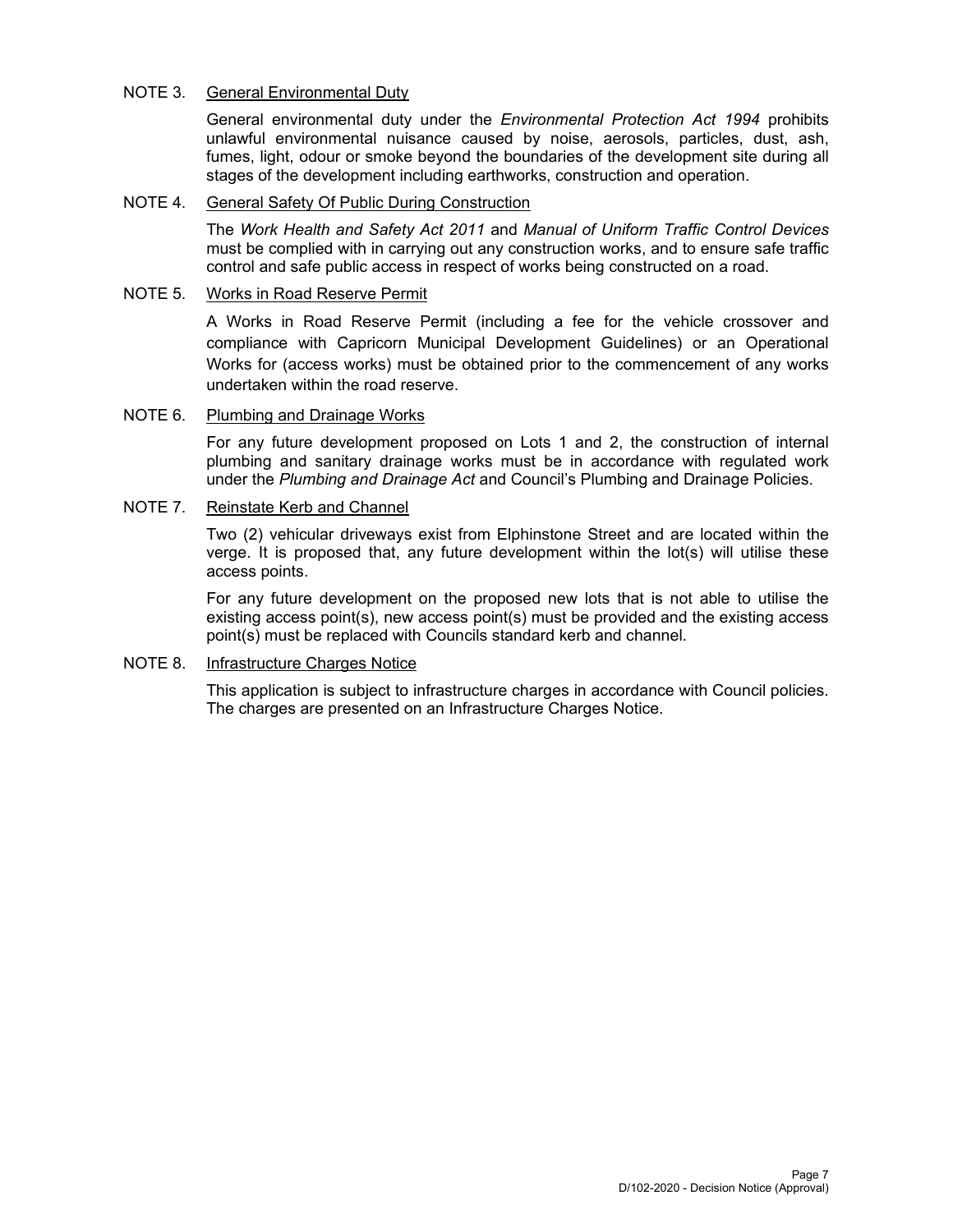### NOTE 3. General Environmental Duty

General environmental duty under the *Environmental Protection Act 1994* prohibits unlawful environmental nuisance caused by noise, aerosols, particles, dust, ash, fumes, light, odour or smoke beyond the boundaries of the development site during all stages of the development including earthworks, construction and operation.

#### NOTE 4. General Safety Of Public During Construction

The *Work Health and Safety Act 2011* and *Manual of Uniform Traffic Control Devices* must be complied with in carrying out any construction works, and to ensure safe traffic control and safe public access in respect of works being constructed on a road.

#### NOTE 5. Works in Road Reserve Permit

A Works in Road Reserve Permit (including a fee for the vehicle crossover and compliance with Capricorn Municipal Development Guidelines) or an Operational Works for (access works) must be obtained prior to the commencement of any works undertaken within the road reserve.

## NOTE 6. Plumbing and Drainage Works

For any future development proposed on Lots 1 and 2, the construction of internal plumbing and sanitary drainage works must be in accordance with regulated work under the *Plumbing and Drainage Act* and Council's Plumbing and Drainage Policies.

## NOTE 7. Reinstate Kerb and Channel

Two (2) vehicular driveways exist from Elphinstone Street and are located within the verge. It is proposed that, any future development within the lot(s) will utilise these access points.

For any future development on the proposed new lots that is not able to utilise the existing access point(s), new access point(s) must be provided and the existing access point(s) must be replaced with Councils standard kerb and channel.

## NOTE 8. Infrastructure Charges Notice

This application is subject to infrastructure charges in accordance with Council policies. The charges are presented on an Infrastructure Charges Notice.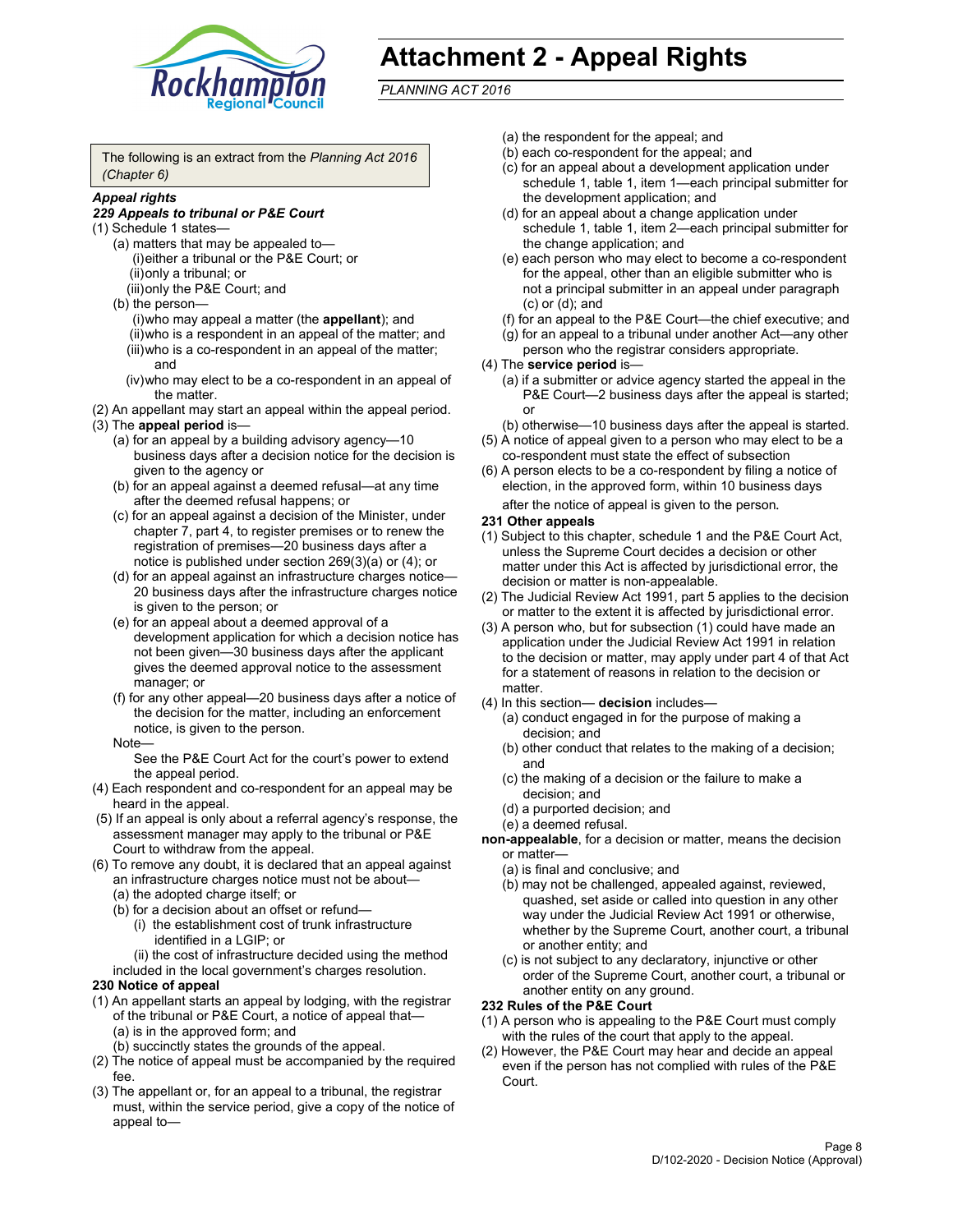

## **Attachment 2 - Appeal Rights**

*PLANNING ACT 2016*

The following is an extract from the *Planning Act 2016 (Chapter 6)*

#### *Appeal rights*

#### *229 Appeals to tribunal or P&E Court*

- (1) Schedule 1 states—
	- (a) matters that may be appealed to— (i) either a tribunal or the P&E Court; or (ii) only a tribunal; or (iii) only the P&E Court; and
	- (b) the person—
		- (i) who may appeal a matter (the **appellant**); and
		- (ii) who is a respondent in an appeal of the matter; and (iii) who is a co-respondent in an appeal of the matter; and
		- (iv) who may elect to be a co-respondent in an appeal of the matter.
- (2) An appellant may start an appeal within the appeal period.
- (3) The **appeal period** is—
	- (a) for an appeal by a building advisory agency—10 business days after a decision notice for the decision is given to the agency or
	- (b) for an appeal against a deemed refusal—at any time after the deemed refusal happens; or
	- (c) for an appeal against a decision of the Minister, under chapter 7, part 4, to register premises or to renew the registration of premises—20 business days after a notice is published under section 269(3)(a) or (4); or
	- (d) for an appeal against an infrastructure charges notice— 20 business days after the infrastructure charges notice is given to the person; or
	- (e) for an appeal about a deemed approval of a development application for which a decision notice has not been given—30 business days after the applicant gives the deemed approval notice to the assessment manager; or
	- (f) for any other appeal—20 business days after a notice of the decision for the matter, including an enforcement notice, is given to the person.

#### Note—

See the P&E Court Act for the court's power to extend the appeal period.

- (4) Each respondent and co-respondent for an appeal may be heard in the appeal.
- (5) If an appeal is only about a referral agency's response, the assessment manager may apply to the tribunal or P&E Court to withdraw from the appeal.
- (6) To remove any doubt, it is declared that an appeal against an infrastructure charges notice must not be about— (a) the adopted charge itself; or
	- (b) for a decision about an offset or refund—
		- (i) the establishment cost of trunk infrastructure identified in a LGIP; or
		- (ii) the cost of infrastructure decided using the method
	- included in the local government's charges resolution.

#### **230 Notice of appeal**

- (1) An appellant starts an appeal by lodging, with the registrar of the tribunal or P&E Court, a notice of appeal that— (a) is in the approved form; and
	- (b) succinctly states the grounds of the appeal.
- (2) The notice of appeal must be accompanied by the required fee.
- (3) The appellant or, for an appeal to a tribunal, the registrar must, within the service period, give a copy of the notice of appeal to—
- (a) the respondent for the appeal; and
- (b) each co-respondent for the appeal; and
- (c) for an appeal about a development application under schedule 1, table 1, item 1—each principal submitter for the development application; and
- (d) for an appeal about a change application under schedule 1, table 1, item 2—each principal submitter for the change application; and
- (e) each person who may elect to become a co-respondent for the appeal, other than an eligible submitter who is not a principal submitter in an appeal under paragraph (c) or (d); and
- (f) for an appeal to the P&E Court—the chief executive; and
- (g) for an appeal to a tribunal under another Act—any other person who the registrar considers appropriate.
- (4) The **service period** is—
	- (a) if a submitter or advice agency started the appeal in the P&E Court-2 business days after the appeal is started; or
	- (b) otherwise—10 business days after the appeal is started.
- (5) A notice of appeal given to a person who may elect to be a co-respondent must state the effect of subsection
- (6) A person elects to be a co-respondent by filing a notice of election, in the approved form, within 10 business days
	- after the notice of appeal is given to the person*.*
- **231 Other appeals**
- (1) Subject to this chapter, schedule 1 and the P&E Court Act, unless the Supreme Court decides a decision or other matter under this Act is affected by jurisdictional error, the decision or matter is non-appealable.
- (2) The Judicial Review Act 1991, part 5 applies to the decision or matter to the extent it is affected by jurisdictional error.
- (3) A person who, but for subsection (1) could have made an application under the Judicial Review Act 1991 in relation to the decision or matter, may apply under part 4 of that Act for a statement of reasons in relation to the decision or matter.
- (4) In this section— **decision** includes—
	- (a) conduct engaged in for the purpose of making a decision; and
	- (b) other conduct that relates to the making of a decision; and
	- (c) the making of a decision or the failure to make a decision; and
	- (d) a purported decision; and
	- (e) a deemed refusal.

**non-appealable**, for a decision or matter, means the decision or matter—

- (a) is final and conclusive; and
- (b) may not be challenged, appealed against, reviewed, quashed, set aside or called into question in any other way under the Judicial Review Act 1991 or otherwise, whether by the Supreme Court, another court, a tribunal or another entity; and
- (c) is not subject to any declaratory, injunctive or other order of the Supreme Court, another court, a tribunal or another entity on any ground.

#### **232 Rules of the P&E Court**

- (1) A person who is appealing to the P&E Court must comply with the rules of the court that apply to the appeal.
- (2) However, the P&E Court may hear and decide an appeal even if the person has not complied with rules of the P&E Court.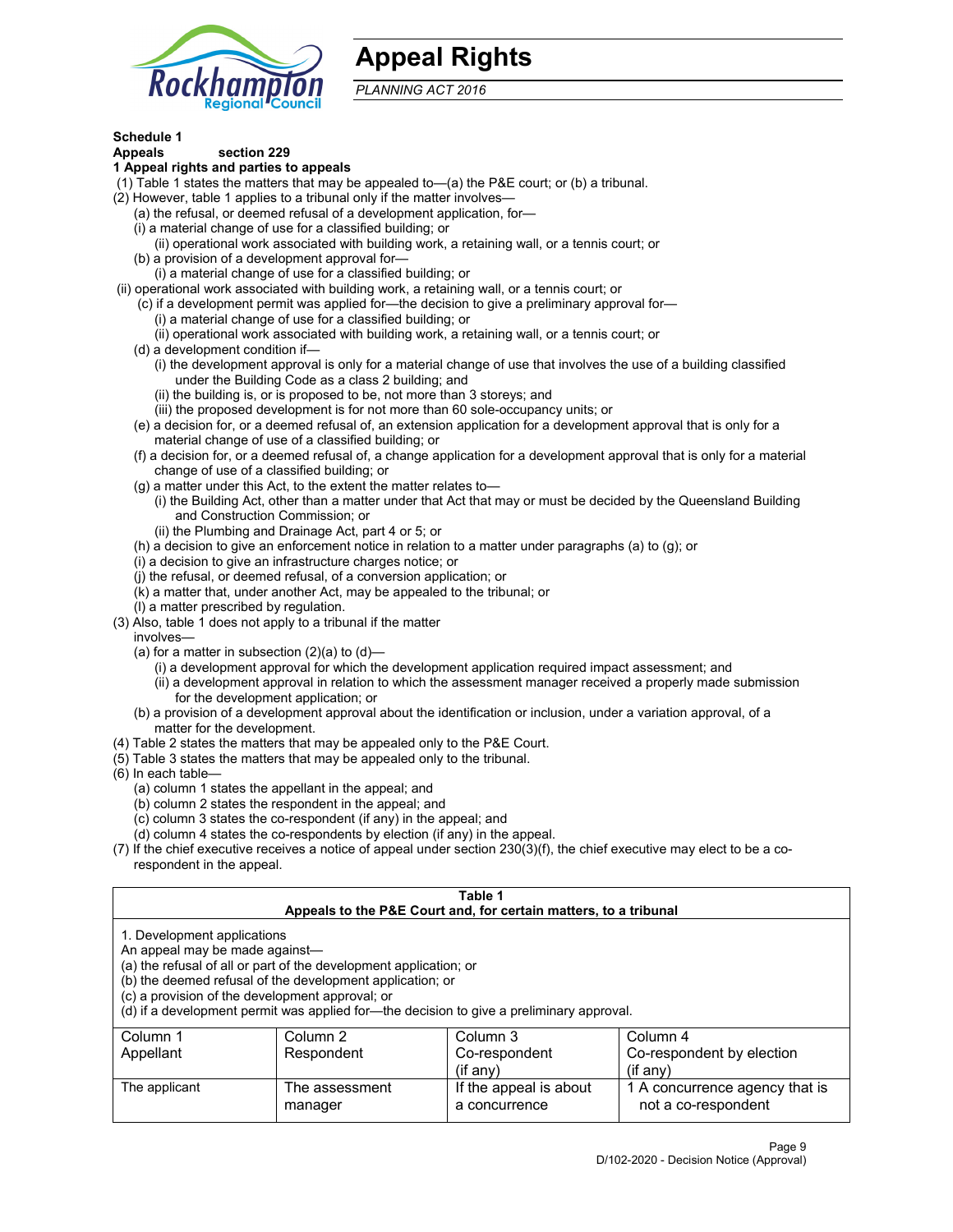

## **Appeal Rights**

*PLANNING ACT 2016*

## **Schedule 1**

## **Appeals section 229**

- **1 Appeal rights and parties to appeals**
- (1) Table 1 states the matters that may be appealed to—(a) the P&E court; or (b) a tribunal.
- (2) However, table 1 applies to a tribunal only if the matter involves—
	- (a) the refusal, or deemed refusal of a development application, for—
	- (i) a material change of use for a classified building; or
	- (ii) operational work associated with building work, a retaining wall, or a tennis court; or
	- (b) a provision of a development approval for—
	- (i) a material change of use for a classified building; or
- (ii) operational work associated with building work, a retaining wall, or a tennis court; or
	- (c) if a development permit was applied for—the decision to give a preliminary approval for—
		- (i) a material change of use for a classified building; or
	- (ii) operational work associated with building work, a retaining wall, or a tennis court; or
	- (d) a development condition if—
		- (i) the development approval is only for a material change of use that involves the use of a building classified under the Building Code as a class 2 building; and
		- (ii) the building is, or is proposed to be, not more than 3 storeys; and
		- (iii) the proposed development is for not more than 60 sole-occupancy units; or
	- (e) a decision for, or a deemed refusal of, an extension application for a development approval that is only for a material change of use of a classified building; or
	- (f) a decision for, or a deemed refusal of, a change application for a development approval that is only for a material change of use of a classified building; or
	- (g) a matter under this Act, to the extent the matter relates to—
		- (i) the Building Act, other than a matter under that Act that may or must be decided by the Queensland Building and Construction Commission; or
		- (ii) the Plumbing and Drainage Act, part 4 or 5; or
	- (h) a decision to give an enforcement notice in relation to a matter under paragraphs (a) to (g); or
	- (i) a decision to give an infrastructure charges notice; or
	- (j) the refusal, or deemed refusal, of a conversion application; or
	- (k) a matter that, under another Act, may be appealed to the tribunal; or
	- (l) a matter prescribed by regulation.
- (3) Also, table 1 does not apply to a tribunal if the matter
	- involves—
		- (a) for a matter in subsection  $(2)(a)$  to  $(d)$ 
			- (i) a development approval for which the development application required impact assessment; and
			- (ii) a development approval in relation to which the assessment manager received a properly made submission for the development application; or
	- (b) a provision of a development approval about the identification or inclusion, under a variation approval, of a matter for the development.
- (4) Table 2 states the matters that may be appealed only to the P&E Court.
- (5) Table 3 states the matters that may be appealed only to the tribunal.
- (6) In each table—
	- (a) column 1 states the appellant in the appeal; and
	- (b) column 2 states the respondent in the appeal; and
	- (c) column 3 states the co-respondent (if any) in the appeal; and
	- (d) column 4 states the co-respondents by election (if any) in the appeal.
- (7) If the chief executive receives a notice of appeal under section 230(3)(f), the chief executive may elect to be a corespondent in the appeal.

| Table 1<br>Appeals to the P&E Court and, for certain matters, to a tribunal                                      |                                                                                                                                |                                                                                          |                                                       |  |
|------------------------------------------------------------------------------------------------------------------|--------------------------------------------------------------------------------------------------------------------------------|------------------------------------------------------------------------------------------|-------------------------------------------------------|--|
| 1. Development applications<br>An appeal may be made against-<br>(c) a provision of the development approval; or | (a) the refusal of all or part of the development application; or<br>(b) the deemed refusal of the development application; or | (d) if a development permit was applied for—the decision to give a preliminary approval. |                                                       |  |
| Column 1                                                                                                         | Column 2                                                                                                                       | Column 3                                                                                 | Column 4                                              |  |
| Appellant                                                                                                        | Respondent                                                                                                                     | Co-respondent<br>$($ if any $)$                                                          | Co-respondent by election<br>$(f \text{an} v)$        |  |
| The applicant                                                                                                    | The assessment<br>manager                                                                                                      | If the appeal is about<br>a concurrence                                                  | 1 A concurrence agency that is<br>not a co-respondent |  |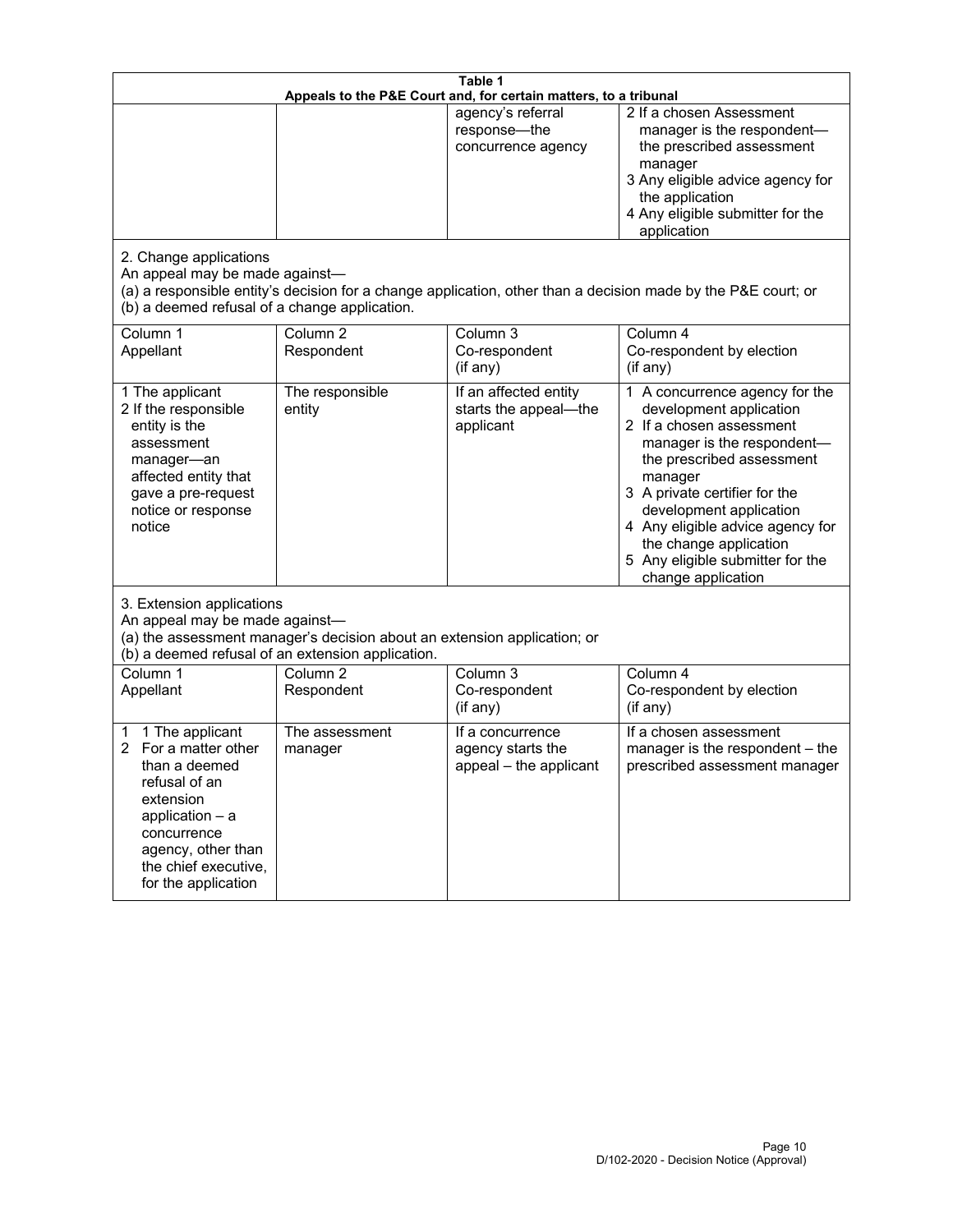| Table 1<br>Appeals to the P&E Court and, for certain matters, to a tribunal                                                                                                                        |                                                                                                                                                                                              |                                                                 |                                                                                                                                                                                                                                                                                                                                                 |  |  |
|----------------------------------------------------------------------------------------------------------------------------------------------------------------------------------------------------|----------------------------------------------------------------------------------------------------------------------------------------------------------------------------------------------|-----------------------------------------------------------------|-------------------------------------------------------------------------------------------------------------------------------------------------------------------------------------------------------------------------------------------------------------------------------------------------------------------------------------------------|--|--|
| 2. Change applications<br>An appeal may be made against-                                                                                                                                           |                                                                                                                                                                                              | agency's referral<br>response-the<br>concurrence agency         | 2 If a chosen Assessment<br>manager is the respondent-<br>the prescribed assessment<br>manager<br>3 Any eligible advice agency for<br>the application<br>4 Any eligible submitter for the<br>application<br>(a) a responsible entity's decision for a change application, other than a decision made by the P&E court; or                       |  |  |
| (b) a deemed refusal of a change application.<br>Column 1<br>Appellant                                                                                                                             | Column $\overline{2}$<br>Respondent                                                                                                                                                          | Column 3<br>Co-respondent<br>(if any)                           | Column 4<br>Co-respondent by election<br>$($ if any $)$                                                                                                                                                                                                                                                                                         |  |  |
| 1 The applicant<br>2 If the responsible<br>entity is the<br>assessment<br>manager-an<br>affected entity that<br>gave a pre-request<br>notice or response<br>notice                                 | The responsible<br>entity                                                                                                                                                                    | If an affected entity<br>starts the appeal-the<br>applicant     | 1 A concurrence agency for the<br>development application<br>2 If a chosen assessment<br>manager is the respondent-<br>the prescribed assessment<br>manager<br>3 A private certifier for the<br>development application<br>4 Any eligible advice agency for<br>the change application<br>5 Any eligible submitter for the<br>change application |  |  |
|                                                                                                                                                                                                    | 3. Extension applications<br>An appeal may be made against-<br>(a) the assessment manager's decision about an extension application; or<br>(b) a deemed refusal of an extension application. |                                                                 |                                                                                                                                                                                                                                                                                                                                                 |  |  |
| Column 1<br>Appellant                                                                                                                                                                              | Column <sub>2</sub><br>Respondent                                                                                                                                                            | Column 3<br>Co-respondent<br>(if any)                           | Column 4<br>Co-respondent by election<br>(if any)                                                                                                                                                                                                                                                                                               |  |  |
| 1 The applicant<br>1<br>For a matter other<br>than a deemed<br>refusal of an<br>extension<br>application $-$ a<br>concurrence<br>agency, other than<br>the chief executive,<br>for the application | The assessment<br>manager                                                                                                                                                                    | If a concurrence<br>agency starts the<br>appeal - the applicant | If a chosen assessment<br>manager is the respondent - the<br>prescribed assessment manager                                                                                                                                                                                                                                                      |  |  |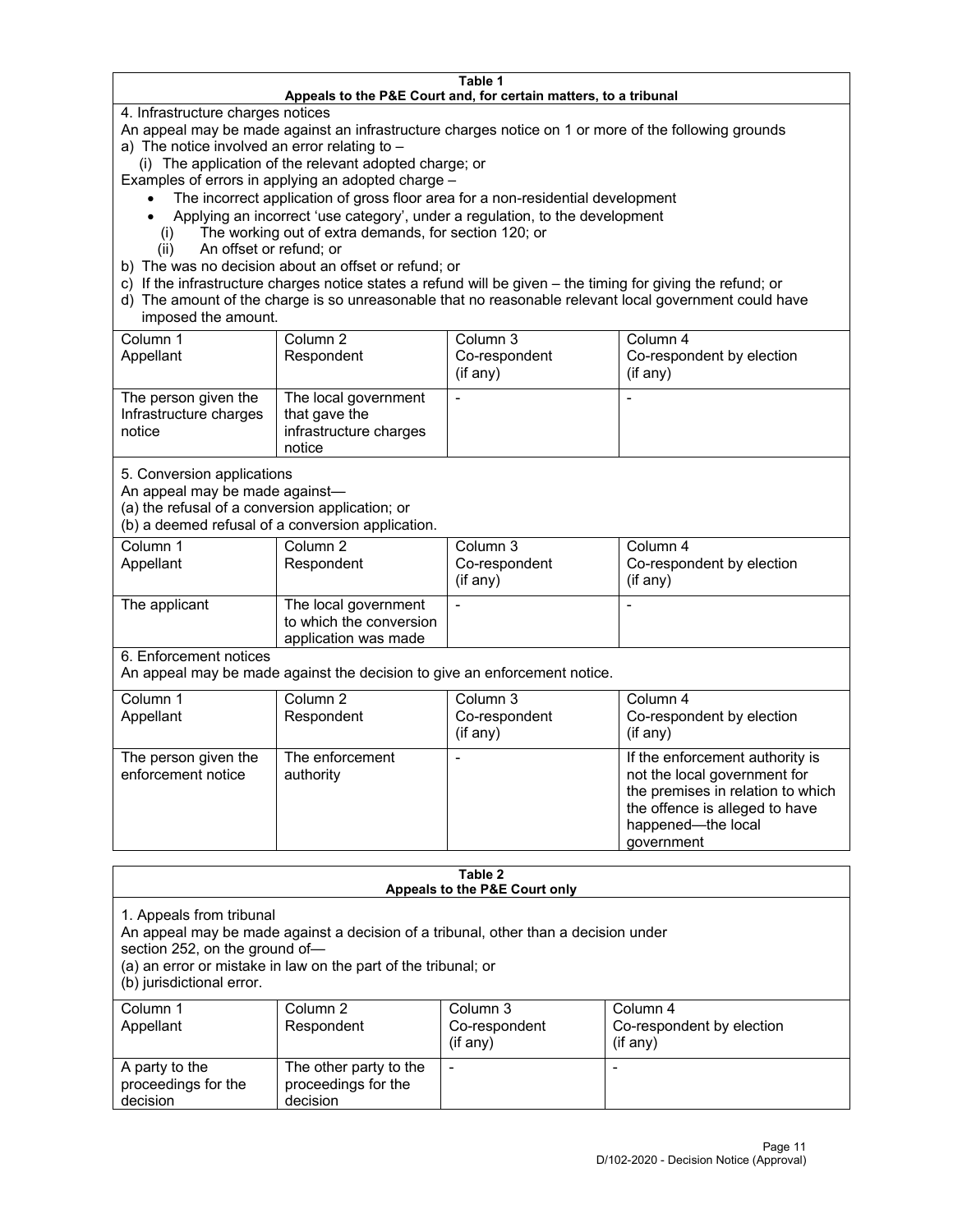#### **Table 1 Appeals to the P&E Court and, for certain matters, to a tribunal**

4. Infrastructure charges notices

An appeal may be made against an infrastructure charges notice on 1 or more of the following grounds

- a) The notice involved an error relating to
	- (i) The application of the relevant adopted charge; or

Examples of errors in applying an adopted charge –

- The incorrect application of gross floor area for a non-residential development
- Applying an incorrect 'use category', under a regulation, to the development
- (i) The working out of extra demands, for section 120; or
- (ii) An offset or refund; or
- b) The was no decision about an offset or refund; or
- c) If the infrastructure charges notice states a refund will be given the timing for giving the refund; or
- d) The amount of the charge is so unreasonable that no reasonable relevant local government could have imposed the amount.

| Column 1<br>Appellant                                    | Column 2<br>Respondent                                                    | Column 3<br>Co-respondent<br>(i f any) | Column 4<br>Co-respondent by election<br>(i f any) |
|----------------------------------------------------------|---------------------------------------------------------------------------|----------------------------------------|----------------------------------------------------|
| The person given the<br>Infrastructure charges<br>notice | The local government<br>that gave the<br>infrastructure charges<br>notice |                                        |                                                    |

5. Conversion applications

An appeal may be made against—

(a) the refusal of a conversion application; or

(b) a deemed refusal of a conversion application.

| Column 1      | Column 2                | Column 3      | Column 4                  |
|---------------|-------------------------|---------------|---------------------------|
| Appellant     | Respondent              | Co-respondent | Co-respondent by election |
|               |                         | $(if$ any)    | (i f any)                 |
| The applicant | The local government    |               |                           |
|               | to which the conversion |               |                           |
|               | application was made    |               |                           |

6. Enforcement notices

An appeal may be made against the decision to give an enforcement notice.

| Column 1<br>Appellant                      | Column 2<br>Respondent       | Column 3<br>Co-respondent<br>(if any) | Column 4<br>Co-respondent by election<br>(if any)                                                                                                                          |
|--------------------------------------------|------------------------------|---------------------------------------|----------------------------------------------------------------------------------------------------------------------------------------------------------------------------|
| The person given the<br>enforcement notice | The enforcement<br>authority |                                       | If the enforcement authority is<br>not the local government for<br>the premises in relation to which<br>the offence is alleged to have<br>happened-the local<br>government |

#### **Table 2 Appeals to the P&E Court only**

1. Appeals from tribunal

An appeal may be made against a decision of a tribunal, other than a decision under

section 252, on the ground of—

(a) an error or mistake in law on the part of the tribunal; or

(b) jurisdictional error.

| Column 1<br>Appellant                             | Column 2<br>Respondent                                    | Column 3<br>Co-respondent<br>$(if$ any) | Column 4<br>Co-respondent by election<br>$(if$ any) |
|---------------------------------------------------|-----------------------------------------------------------|-----------------------------------------|-----------------------------------------------------|
| A party to the<br>proceedings for the<br>decision | The other party to the<br>proceedings for the<br>decision | $\overline{\phantom{a}}$                |                                                     |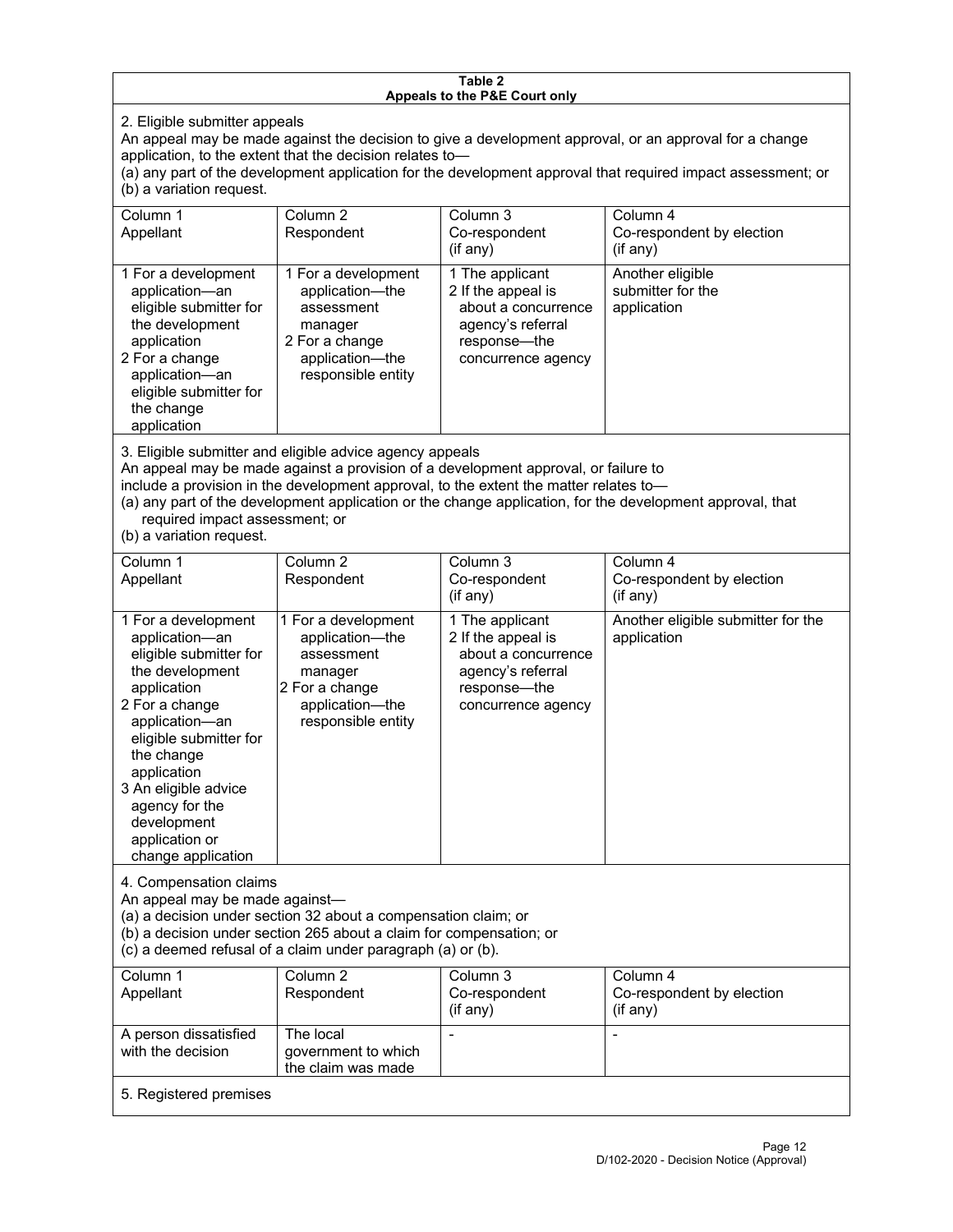#### **Table 2 Appeals to the P&E Court only**

2. Eligible submitter appeals

An appeal may be made against the decision to give a development approval, or an approval for a change application, to the extent that the decision relates to—

(a) any part of the development application for the development approval that required impact assessment; or (b) a variation request.

| Column 1<br>Appellant                                                                                                                                                                        | Column 2<br>Respondent                                                                                                     | Column 3<br>Co-respondent<br>$($ if any $)$                                                                             | Column 4<br>Co-respondent by election<br>(i f any)   |
|----------------------------------------------------------------------------------------------------------------------------------------------------------------------------------------------|----------------------------------------------------------------------------------------------------------------------------|-------------------------------------------------------------------------------------------------------------------------|------------------------------------------------------|
| 1 For a development<br>application-an<br>eligible submitter for<br>the development<br>application<br>2 For a change<br>application-an<br>eligible submitter for<br>the change<br>application | 1 For a development<br>application-the<br>assessment<br>manager<br>2 For a change<br>application-the<br>responsible entity | 1 The applicant<br>2 If the appeal is<br>about a concurrence<br>agency's referral<br>response—the<br>concurrence agency | Another eligible<br>submitter for the<br>application |

3. Eligible submitter and eligible advice agency appeals

An appeal may be made against a provision of a development approval, or failure to

include a provision in the development approval, to the extent the matter relates to—

(a) any part of the development application or the change application, for the development approval, that required impact assessment; or

(b) a variation request.

| Column 1<br>Appellant                                                                                                                                                                                                                                                                         | Column <sub>2</sub><br>Respondent                                                                                          | Column 3<br>Co-respondent<br>(if any)                                                                                   | Column 4<br>Co-respondent by election<br>(if any) |
|-----------------------------------------------------------------------------------------------------------------------------------------------------------------------------------------------------------------------------------------------------------------------------------------------|----------------------------------------------------------------------------------------------------------------------------|-------------------------------------------------------------------------------------------------------------------------|---------------------------------------------------|
| 1 For a development<br>application-an<br>eligible submitter for<br>the development<br>application<br>2 For a change<br>application-an<br>eligible submitter for<br>the change<br>application<br>3 An eligible advice<br>agency for the<br>development<br>application or<br>change application | 1 For a development<br>application-the<br>assessment<br>manager<br>2 For a change<br>application-the<br>responsible entity | 1 The applicant<br>2 If the appeal is<br>about a concurrence<br>agency's referral<br>response-the<br>concurrence agency | Another eligible submitter for the<br>application |
| 4. Compensation claims<br>An appeal may be made against-<br>(a) a decision under section 32 about a compensation claim; or<br>(b) a decision under section 265 about a claim for compensation; or<br>(c) a deemed refusal of a claim under paragraph (a) or (b).                              |                                                                                                                            |                                                                                                                         |                                                   |
| Column <sub>1</sub><br>Appellant                                                                                                                                                                                                                                                              | Column <sub>2</sub><br>Respondent                                                                                          | Column <sub>3</sub><br>Co-respondent<br>(if any)                                                                        | Column 4<br>Co-respondent by election<br>(if any) |
| A person dissatisfied<br>with the decision                                                                                                                                                                                                                                                    | The local<br>government to which<br>the claim was made                                                                     |                                                                                                                         |                                                   |
| 5. Registered premises                                                                                                                                                                                                                                                                        |                                                                                                                            |                                                                                                                         |                                                   |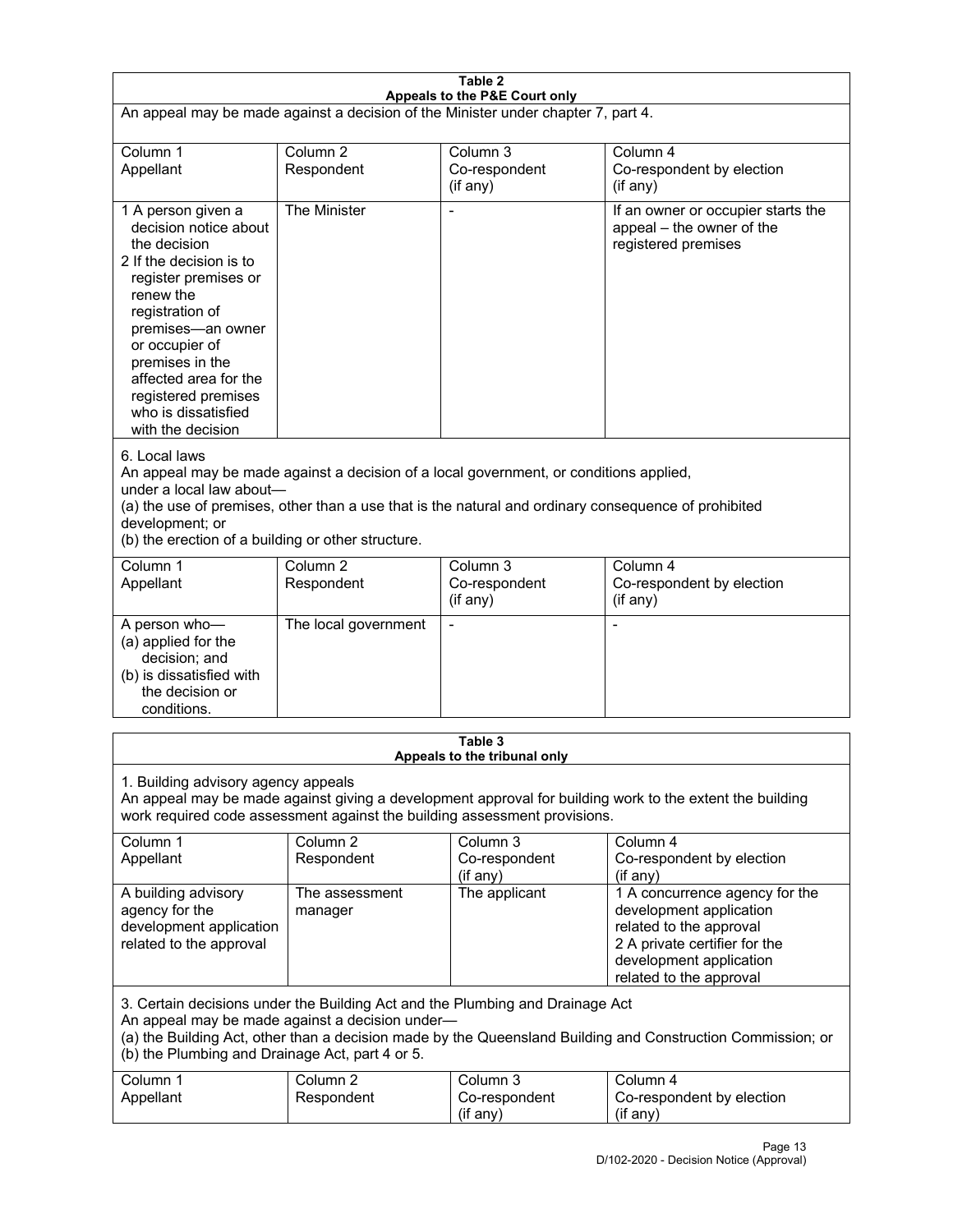| Table 2<br>Appeals to the P&E Court only                                                                                                                                                                                                                                                                             |                                   |                                         |                                                                                                                                                                             |  |
|----------------------------------------------------------------------------------------------------------------------------------------------------------------------------------------------------------------------------------------------------------------------------------------------------------------------|-----------------------------------|-----------------------------------------|-----------------------------------------------------------------------------------------------------------------------------------------------------------------------------|--|
| An appeal may be made against a decision of the Minister under chapter 7, part 4.                                                                                                                                                                                                                                    |                                   |                                         |                                                                                                                                                                             |  |
| Column 1<br>Appellant                                                                                                                                                                                                                                                                                                | Column <sub>2</sub><br>Respondent | Column 3<br>Co-respondent<br>(if any)   | Column 4<br>Co-respondent by election<br>(if any)                                                                                                                           |  |
| 1 A person given a<br>decision notice about<br>the decision<br>2 If the decision is to<br>register premises or<br>renew the<br>registration of<br>premises-an owner<br>or occupier of<br>premises in the<br>affected area for the<br>registered premises<br>who is dissatisfied<br>with the decision                 | The Minister                      | $\overline{a}$                          | If an owner or occupier starts the<br>appeal - the owner of the<br>registered premises                                                                                      |  |
| 6. Local laws<br>An appeal may be made against a decision of a local government, or conditions applied,<br>under a local law about-<br>(a) the use of premises, other than a use that is the natural and ordinary consequence of prohibited<br>development; or<br>(b) the erection of a building or other structure. |                                   |                                         |                                                                                                                                                                             |  |
| Column 1<br>Appellant                                                                                                                                                                                                                                                                                                | Column <sub>2</sub><br>Respondent | Column 3<br>Co-respondent<br>(if any)   | Column 4<br>Co-respondent by election<br>(if any)                                                                                                                           |  |
| A person who-<br>(a) applied for the<br>decision; and<br>(b) is dissatisfied with<br>the decision or<br>conditions.                                                                                                                                                                                                  | The local government              | L,                                      | $\overline{a}$                                                                                                                                                              |  |
|                                                                                                                                                                                                                                                                                                                      |                                   | Table 3<br>Appeals to the tribunal only |                                                                                                                                                                             |  |
| 1. Building advisory agency appeals<br>An appeal may be made against giving a development approval for building work to the extent the building<br>work required code assessment against the building assessment provisions.                                                                                         |                                   |                                         |                                                                                                                                                                             |  |
| Column 1<br>Appellant                                                                                                                                                                                                                                                                                                | Column <sub>2</sub><br>Respondent | Column 3<br>Co-respondent<br>(if any)   | Column 4<br>Co-respondent by election<br>(if any)                                                                                                                           |  |
| A building advisory<br>agency for the<br>development application<br>related to the approval                                                                                                                                                                                                                          | The assessment<br>manager         | The applicant                           | 1 A concurrence agency for the<br>development application<br>related to the approval<br>2 A private certifier for the<br>development application<br>related to the approval |  |
| 3. Certain decisions under the Building Act and the Plumbing and Drainage Act<br>An appeal may be made against a decision under-<br>(a) the Building Act, other than a decision made by the Queensland Building and Construction Commission; or<br>(b) the Plumbing and Drainage Act, part 4 or 5.                   |                                   |                                         |                                                                                                                                                                             |  |
| Column 1<br>Appellant                                                                                                                                                                                                                                                                                                | Column <sub>2</sub><br>Respondent | Column 3<br>Co-respondent<br>(if any)   | Column 4<br>Co-respondent by election<br>(if any)                                                                                                                           |  |